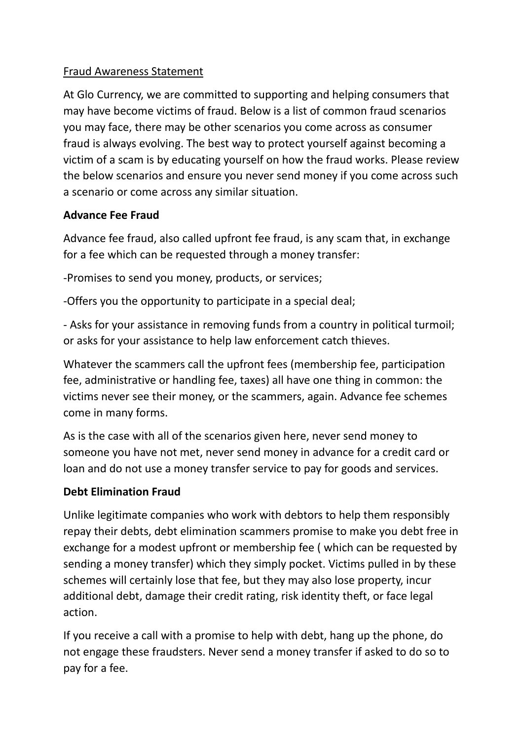## Fraud Awareness Statement

At Glo Currency, we are committed to supporting and helping consumers that may have become victims of fraud. Below is a list of common fraud scenarios you may face, there may be other scenarios you come across as consumer fraud is always evolving. The best way to protect yourself against becoming a victim of a scam is by educating yourself on how the fraud works. Please review the below scenarios and ensure you never send money if you come across such a scenario or come across any similar situation.

## **Advance Fee Fraud**

Advance fee fraud, also called upfront fee fraud, is any scam that, in exchange for a fee which can be requested through a money transfer:

-Promises to send you money, products, or services;

-Offers you the opportunity to participate in a special deal;

- Asks for your assistance in removing funds from a country in political turmoil; or asks for your assistance to help law enforcement catch thieves.

Whatever the scammers call the upfront fees (membership fee, participation fee, administrative or handling fee, taxes) all have one thing in common: the victims never see their money, or the scammers, again. Advance fee schemes come in many forms.

As is the case with all of the scenarios given here, never send money to someone you have not met, never send money in advance for a credit card or loan and do not use a money transfer service to pay for goods and services.

# **Debt Elimination Fraud**

Unlike legitimate companies who work with debtors to help them responsibly repay their debts, debt elimination scammers promise to make you debt free in exchange for a modest upfront or membership fee ( which can be requested by sending a money transfer) which they simply pocket. Victims pulled in by these schemes will certainly lose that fee, but they may also lose property, incur additional debt, damage their credit rating, risk identity theft, or face legal action.

If you receive a call with a promise to help with debt, hang up the phone, do not engage these fraudsters. Never send a money transfer if asked to do so to pay for a fee.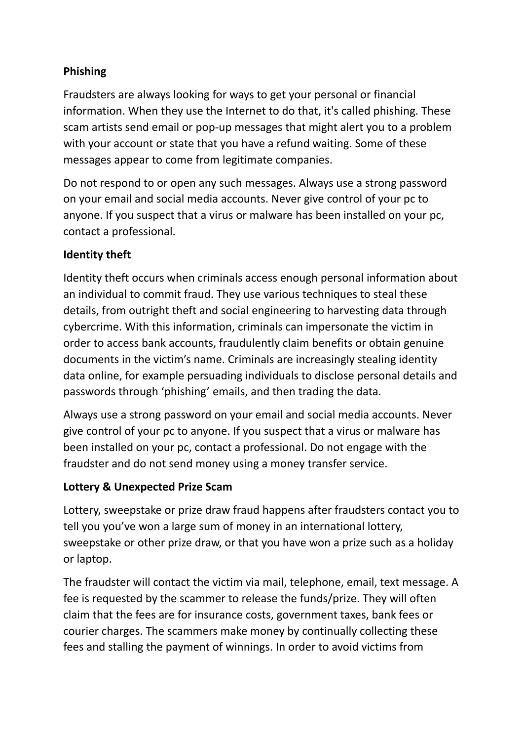# **Phishing**

Fraudsters are always looking for ways to get your personal or financial information. When they use the Internet to do that, it's called phishing. These scam artists send email or pop-up messages that might alert you to a problem with your account or state that you have a refund waiting. Some of these messages appear to come from legitimate companies.

Do not respond to or open any such messages. Always use a strong password on your email and social media accounts. Never give control of your pc to anyone. If you suspect that a virus or malware has been installed on your pc, contact a professional.

## **Identity theft**

Identity theft occurs when criminals access enough personal information about an individual to commit fraud. They use various techniques to steal these details, from outright theft and social engineering to harvesting data through cybercrime. With this information, criminals can impersonate the victim in order to access bank accounts, fraudulently claim benefits or obtain genuine documents in the victim's name. Criminals are increasingly stealing identity data online, for example persuading individuals to disclose personal details and passwords through 'phishing' emails, and then trading the data.

Always use a strong password on your email and social media accounts. Never give control of your pc to anyone. If you suspect that a virus or malware has been installed on your pc, contact a professional. Do not engage with the fraudster and do not send money using a money transfer service.

## **Lottery & Unexpected Prize Scam**

Lottery, sweepstake or prize draw fraud happens after fraudsters contact you to tell you you've won a large sum of money in an international lottery, sweepstake or other prize draw, or that you have won a prize such as a holiday or laptop.

The fraudster will contact the victim via mail, telephone, email, text message. A fee is requested by the scammer to release the funds/prize. They will often claim that the fees are for insurance costs, government taxes, bank fees or courier charges. The scammers make money by continually collecting these fees and stalling the payment of winnings. In order to avoid victims from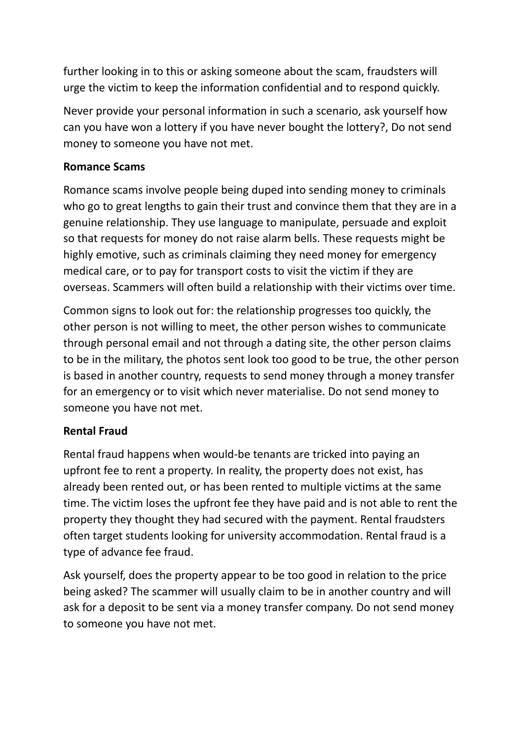further looking in to this or asking someone about the scam, fraudsters will urge the victim to keep the information confidential and to respond quickly.

Never provide your personal information in such a scenario, ask yourself how can you have won a lottery if you have never bought the lottery?, Do not send money to someone you have not met.

#### **Romance Scams**

Romance scams involve people being duped into sending money to criminals who go to great lengths to gain their trust and convince them that they are in a genuine relationship. They use language to manipulate, persuade and exploit so that requests for money do not raise alarm bells. These requests might be highly emotive, such as criminals claiming they need money for emergency medical care, or to pay for transport costs to visit the victim if they are overseas. Scammers will often build a relationship with their victims over time.

Common signs to look out for: the relationship progresses too quickly, the other person is not willing to meet, the other person wishes to communicate through personal email and not through a dating site, the other person claims to be in the military, the photos sent look too good to be true, the other person is based in another country, requests to send money through a money transfer for an emergency or to visit which never materialise. Do not send money to someone you have not met.

# **Rental Fraud**

Rental fraud happens when would-be tenants are tricked into paying an upfront fee to rent a property. In reality, the property does not exist, has already been rented out, or has been rented to multiple victims at the same time. The victim loses the upfront fee they have paid and is not able to rent the property they thought they had secured with the payment. Rental fraudsters often target students looking for university accommodation. Rental fraud is a type of advance fee fraud.

Ask yourself, does the property appear to be too good in relation to the price being asked? The scammer will usually claim to be in another country and will ask for a deposit to be sent via a money transfer company. Do not send money to someone you have not met.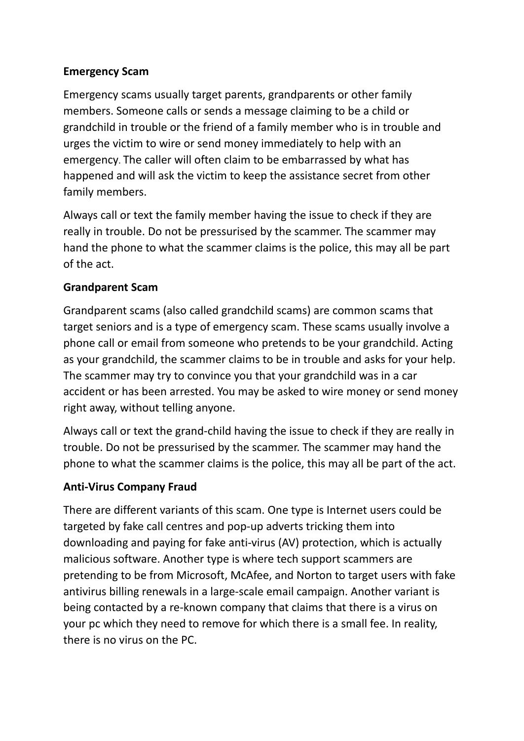#### **Emergency Scam**

Emergency scams usually target parents, grandparents or other family members. Someone calls or sends a message claiming to be a child or grandchild in trouble or the friend of a family member who is in trouble and urges the victim to wire or send money immediately to help with an emergency. The caller will often claim to be embarrassed by what has happened and will ask the victim to keep the assistance secret from other family members.

Always call or text the family member having the issue to check if they are really in trouble. Do not be pressurised by the scammer. The scammer may hand the phone to what the scammer claims is the police, this may all be part of the act.

#### **Grandparent Scam**

Grandparent scams (also called grandchild scams) are common scams that target seniors and is a type of emergency scam. These scams usually involve a phone call or email from someone who pretends to be your grandchild. Acting as your grandchild, the scammer claims to be in trouble and asks for your help. The scammer may try to convince you that your grandchild was in a car accident or has been arrested. You may be asked to wire money or send money right away, without telling anyone.

Always call or text the grand-child having the issue to check if they are really in trouble. Do not be pressurised by the scammer. The scammer may hand the phone to what the scammer claims is the police, this may all be part of the act.

#### **Anti-Virus Company Fraud**

There are different variants of this scam. One type is Internet users could be targeted by fake call centres and pop-up adverts tricking them into downloading and paying for fake anti-virus (AV) protection, which is actually malicious software. Another type is where tech support scammers are pretending to be from Microsoft, McAfee, and Norton to target users with fake antivirus billing renewals in a large-scale email campaign. Another variant is being contacted by a re-known company that claims that there is a virus on your pc which they need to remove for which there is a small fee. In reality, there is no virus on the PC.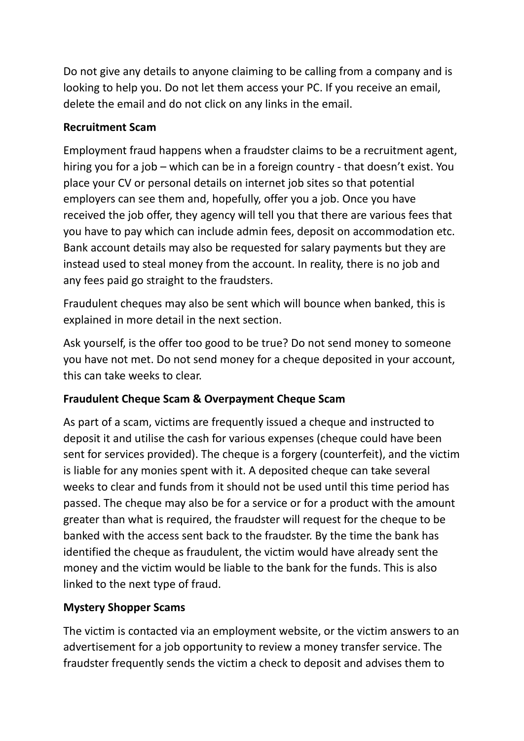Do not give any details to anyone claiming to be calling from a company and is looking to help you. Do not let them access your PC. If you receive an email, delete the email and do not click on any links in the email.

## **Recruitment Scam**

Employment fraud happens when a fraudster claims to be a recruitment agent, hiring you for a job – which can be in a foreign country - that doesn't exist. You place your CV or personal details on internet job sites so that potential employers can see them and, hopefully, offer you a job. Once you have received the job offer, they agency will tell you that there are various fees that you have to pay which can include admin fees, deposit on accommodation etc. Bank account details may also be requested for salary payments but they are instead used to steal money from the account. In reality, there is no job and any fees paid go straight to the fraudsters.

Fraudulent cheques may also be sent which will bounce when banked, this is explained in more detail in the next section.

Ask yourself, is the offer too good to be true? Do not send money to someone you have not met. Do not send money for a cheque deposited in your account, this can take weeks to clear.

## **Fraudulent Cheque Scam & Overpayment Cheque Scam**

As part of a scam, victims are frequently issued a cheque and instructed to deposit it and utilise the cash for various expenses (cheque could have been sent for services provided). The cheque is a forgery (counterfeit), and the victim is liable for any monies spent with it. A deposited cheque can take several weeks to clear and funds from it should not be used until this time period has passed. The cheque may also be for a service or for a product with the amount greater than what is required, the fraudster will request for the cheque to be banked with the access sent back to the fraudster. By the time the bank has identified the cheque as fraudulent, the victim would have already sent the money and the victim would be liable to the bank for the funds. This is also linked to the next type of fraud.

## **Mystery Shopper Scams**

The victim is contacted via an employment website, or the victim answers to an advertisement for a job opportunity to review a money transfer service. The fraudster frequently sends the victim a check to deposit and advises them to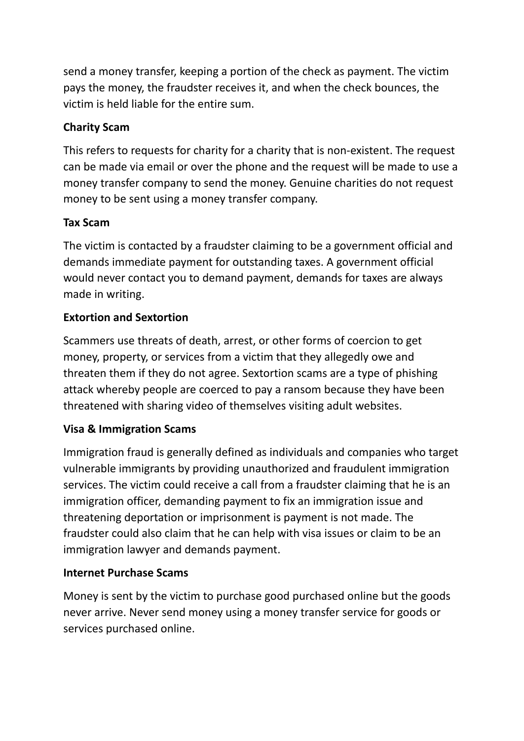send a money transfer, keeping a portion of the check as payment. The victim pays the money, the fraudster receives it, and when the check bounces, the victim is held liable for the entire sum.

# **Charity Scam**

This refers to requests for charity for a charity that is non-existent. The request can be made via email or over the phone and the request will be made to use a money transfer company to send the money. Genuine charities do not request money to be sent using a money transfer company.

## **Tax Scam**

The victim is contacted by a fraudster claiming to be a government official and demands immediate payment for outstanding taxes. A government official would never contact you to demand payment, demands for taxes are always made in writing.

## **Extortion and Sextortion**

Scammers use threats of death, arrest, or other forms of coercion to get money, property, or services from a victim that they allegedly owe and threaten them if they do not agree. Sextortion scams are a type of phishing attack whereby people are coerced to pay a ransom because they have been threatened with sharing video of themselves visiting adult websites.

## **Visa & Immigration Scams**

Immigration fraud is generally defined as individuals and companies who target vulnerable immigrants by providing unauthorized and fraudulent immigration services. The victim could receive a call from a fraudster claiming that he is an immigration officer, demanding payment to fix an immigration issue and threatening deportation or imprisonment is payment is not made. The fraudster could also claim that he can help with visa issues or claim to be an immigration lawyer and demands payment.

## **Internet Purchase Scams**

Money is sent by the victim to purchase good purchased online but the goods never arrive. Never send money using a money transfer service for goods or services purchased online.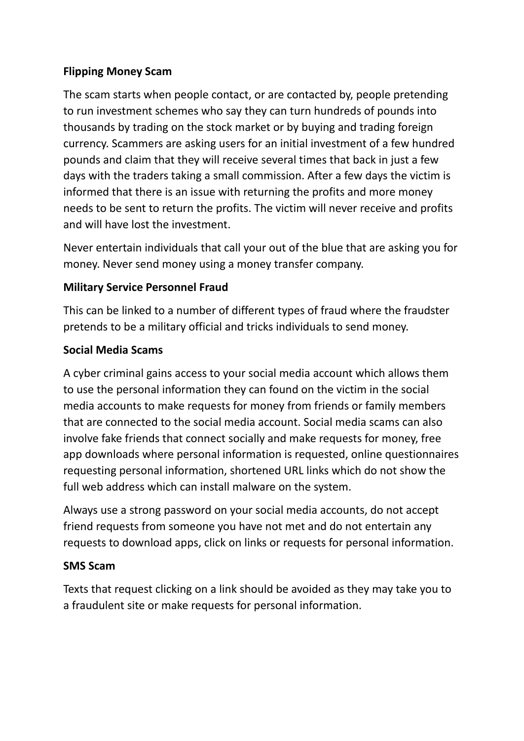## **Flipping Money Scam**

The scam starts when people contact, or are contacted by, people pretending to run investment schemes who say they can turn hundreds of pounds into thousands by trading on the stock market or by buying and trading foreign currency. Scammers are asking users for an initial investment of a few hundred pounds and claim that they will receive several times that back in just a few days with the traders taking a small commission. After a few days the victim is informed that there is an issue with returning the profits and more money needs to be sent to return the profits. The victim will never receive and profits and will have lost the investment.

Never entertain individuals that call your out of the blue that are asking you for money. Never send money using a money transfer company.

#### **Military Service Personnel Fraud**

This can be linked to a number of different types of fraud where the fraudster pretends to be a military official and tricks individuals to send money.

#### **Social Media Scams**

A cyber criminal gains access to your social media account which allows them to use the personal information they can found on the victim in the social media accounts to make requests for money from friends or family members that are connected to the social media account. Social media scams can also involve fake friends that connect socially and make requests for money, free app downloads where personal information is requested, online questionnaires requesting personal information, shortened URL links which do not show the full web address which can install malware on the system.

Always use a strong password on your social media accounts, do not accept friend requests from someone you have not met and do not entertain any requests to download apps, click on links or requests for personal information.

#### **SMS Scam**

Texts that request clicking on a link should be avoided as they may take you to a fraudulent site or make requests for personal information.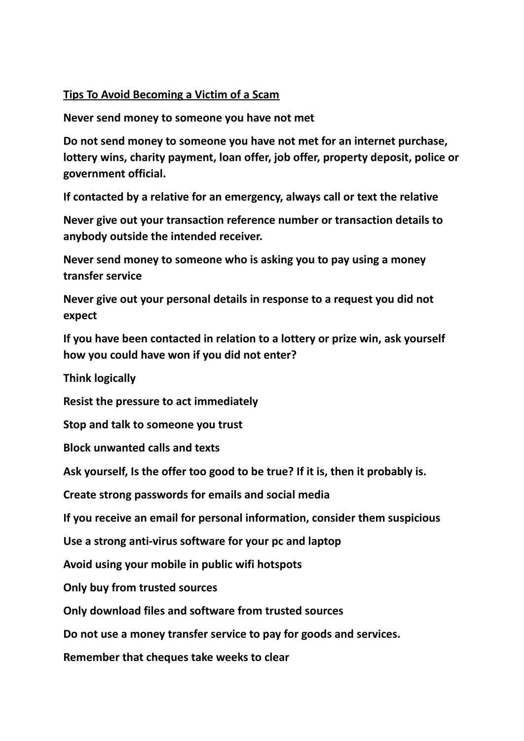#### **Tips To Avoid Becoming a Victim of a Scam**

**Never send money to someone you have not met**

**Do not send money to someone you have not met for an internet purchase, lottery wins, charity payment, loan offer, job offer, property deposit, police or government official.**

**If contacted by a relative for an emergency, always call or text the relative**

**Never give out your transaction reference number or transaction details to anybody outside the intended receiver.**

**Never send money to someone who is asking you to pay using a money transfer service**

**Never give out your personal details in response to a request you did not expect**

**If you have been contacted in relation to a lottery or prize win, ask yourself how you could have won if you did not enter?**

**Think logically**

**Resist the pressure to act immediately**

**Stop and talk to someone you trust**

**Block unwanted calls and texts**

**Ask yourself, Is the offer too good to be true? If it is, then it probably is.**

**Create strong passwords for emails and social media**

**If you receive an email for personal information, consider them suspicious**

**Use a strong anti-virus software for your pc and laptop**

**Avoid using your mobile in public wifi hotspots**

**Only buy from trusted sources**

**Only download files and software from trusted sources**

**Do not use a money transfer service to pay for goods and services.**

**Remember that cheques take weeks to clear**